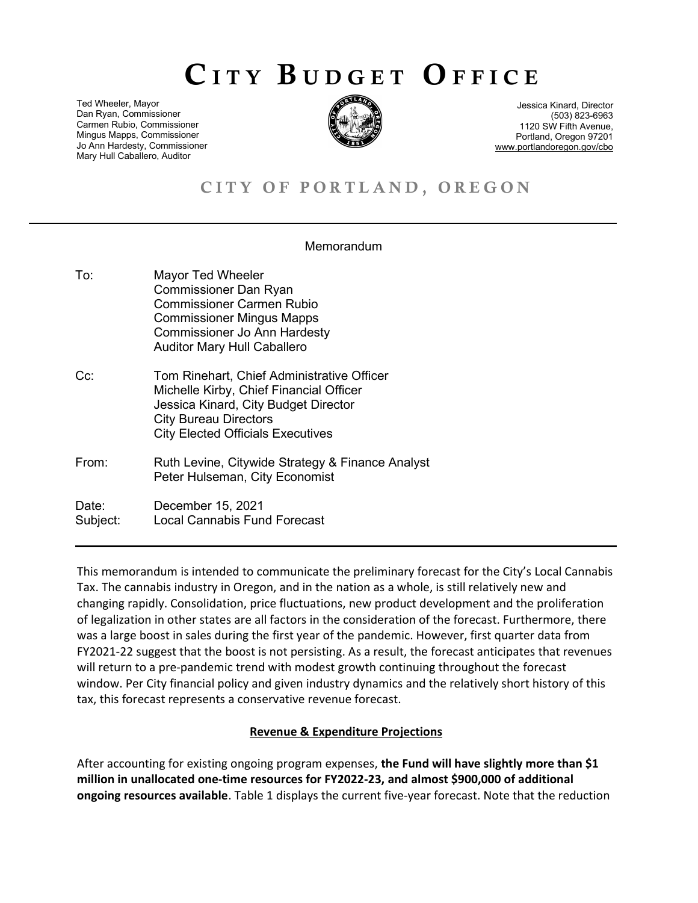# CITY BUDGET OFFICE

Ted Wheeler, Mayor Dan Ryan, Commissioner Carmen Rubio, Commissioner Mingus Mapps, Commissioner Jo Ann Hardesty, Commissioner Mary Hull Caballero, Auditor



Jessica Kinard, Director (503) 823-6963 1120 SW Fifth Avenue, Portland, Oregon 97201 www.portlandoregon.gov/cbo

## CITY OF PORTLAND, OREGON

#### Memorandum

- To: Mayor Ted Wheeler Commissioner Dan Ryan Commissioner Carmen Rubio Commissioner Mingus Mapps Commissioner Jo Ann Hardesty Auditor Mary Hull Caballero Cc: Tom Rinehart, Chief Administrative Officer Michelle Kirby, Chief Financial Officer Jessica Kinard, City Budget Director City Bureau Directors City Elected Officials Executives
- From: Ruth Levine, Citywide Strategy & Finance Analyst Peter Hulseman, City Economist

 Date: December 15, 2021 Subject: Local Cannabis Fund Forecast

This memorandum is intended to communicate the preliminary forecast for the City's Local Cannabis Tax. The cannabis industry in Oregon, and in the nation as a whole, is still relatively new and changing rapidly. Consolidation, price fluctuations, new product development and the proliferation of legalization in other states are all factors in the consideration of the forecast. Furthermore, there was a large boost in sales during the first year of the pandemic. However, first quarter data from FY2021-22 suggest that the boost is not persisting. As a result, the forecast anticipates that revenues will return to a pre-pandemic trend with modest growth continuing throughout the forecast window. Per City financial policy and given industry dynamics and the relatively short history of this tax, this forecast represents a conservative revenue forecast.

#### Revenue & Expenditure Projections

After accounting for existing ongoing program expenses, the Fund will have slightly more than \$1 million in unallocated one-time resources for FY2022-23, and almost \$900,000 of additional ongoing resources available. Table 1 displays the current five-year forecast. Note that the reduction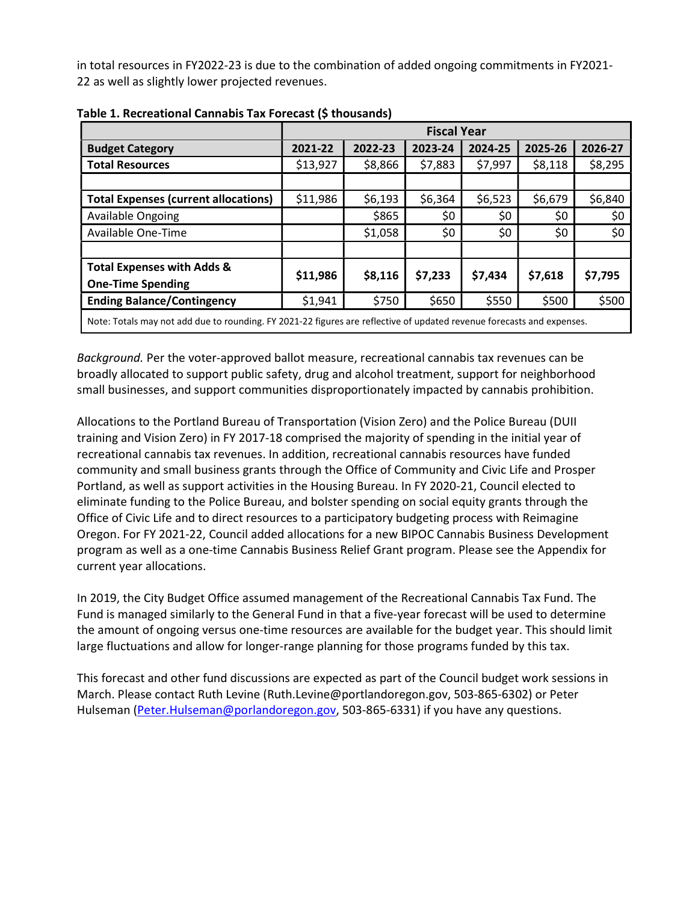in total resources in FY2022-23 is due to the combination of added ongoing commitments in FY2021- 22 as well as slightly lower projected revenues.

|                                                                                                                        | <b>Fiscal Year</b> |         |         |         |         |         |
|------------------------------------------------------------------------------------------------------------------------|--------------------|---------|---------|---------|---------|---------|
| <b>Budget Category</b>                                                                                                 | 2021-22            | 2022-23 | 2023-24 | 2024-25 | 2025-26 | 2026-27 |
| <b>Total Resources</b>                                                                                                 | \$13,927           | \$8,866 | \$7,883 | \$7,997 | \$8,118 | \$8,295 |
|                                                                                                                        |                    |         |         |         |         |         |
| <b>Total Expenses (current allocations)</b>                                                                            | \$11,986           | \$6,193 | \$6,364 | \$6,523 | \$6,679 | \$6,840 |
| <b>Available Ongoing</b>                                                                                               |                    | \$865   | \$0     | \$0     | \$0     | \$0     |
| Available One-Time                                                                                                     |                    | \$1,058 | \$0     | \$0     | \$0     | \$0     |
|                                                                                                                        |                    |         |         |         |         |         |
| <b>Total Expenses with Adds &amp;</b>                                                                                  |                    | \$8,116 | \$7,233 |         | \$7,618 | \$7,795 |
| <b>One-Time Spending</b>                                                                                               | \$11,986           |         |         | \$7,434 |         |         |
| <b>Ending Balance/Contingency</b>                                                                                      | \$1,941            | \$750   | \$650   | \$550   | \$500   | \$500   |
| Note: Totals may not add due to rounding. FY 2021-22 figures are reflective of updated revenue forecasts and expenses. |                    |         |         |         |         |         |

Table 1. Recreational Cannabis Tax Forecast (\$ thousands)

Background. Per the voter-approved ballot measure, recreational cannabis tax revenues can be broadly allocated to support public safety, drug and alcohol treatment, support for neighborhood small businesses, and support communities disproportionately impacted by cannabis prohibition.

Allocations to the Portland Bureau of Transportation (Vision Zero) and the Police Bureau (DUII training and Vision Zero) in FY 2017-18 comprised the majority of spending in the initial year of recreational cannabis tax revenues. In addition, recreational cannabis resources have funded community and small business grants through the Office of Community and Civic Life and Prosper Portland, as well as support activities in the Housing Bureau. In FY 2020-21, Council elected to eliminate funding to the Police Bureau, and bolster spending on social equity grants through the Office of Civic Life and to direct resources to a participatory budgeting process with Reimagine Oregon. For FY 2021-22, Council added allocations for a new BIPOC Cannabis Business Development program as well as a one-time Cannabis Business Relief Grant program. Please see the Appendix for current year allocations.

In 2019, the City Budget Office assumed management of the Recreational Cannabis Tax Fund. The Fund is managed similarly to the General Fund in that a five-year forecast will be used to determine the amount of ongoing versus one-time resources are available for the budget year. This should limit large fluctuations and allow for longer-range planning for those programs funded by this tax.

This forecast and other fund discussions are expected as part of the Council budget work sessions in March. Please contact Ruth Levine (Ruth.Levine@portlandoregon.gov, 503-865-6302) or Peter Hulseman (Peter.Hulseman@porlandoregon.gov, 503-865-6331) if you have any questions.